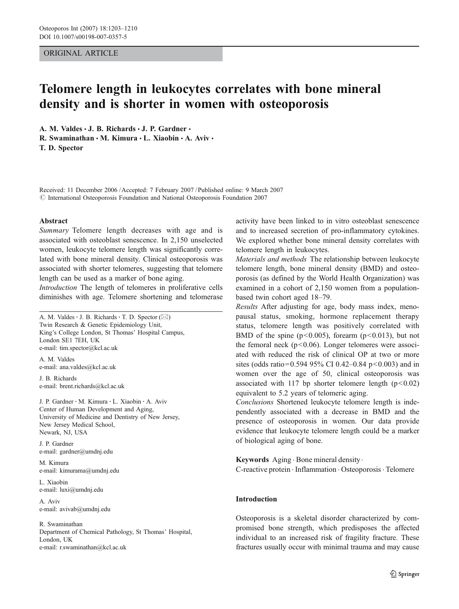# ORIGINAL ARTICLE

# Telomere length in leukocytes correlates with bone mineral density and is shorter in women with osteoporosis

A. M. Valdes  $\cdot$  J. B. Richards  $\cdot$  J. P. Gardner  $\cdot$ R. Swaminathan  $\cdot$  M. Kimura  $\cdot$  L. Xiaobin  $\cdot$  A. Aviv  $\cdot$ T. D. Spector

Received: 11 December 2006 /Accepted: 7 February 2007 / Published online: 9 March 2007  $\oslash$  International Osteoporosis Foundation and National Osteoporosis Foundation 2007

### Abstract

Summary Telomere length decreases with age and is associated with osteoblast senescence. In 2,150 unselected women, leukocyte telomere length was significantly correlated with bone mineral density. Clinical osteoporosis was associated with shorter telomeres, suggesting that telomere length can be used as a marker of bone aging.

Introduction The length of telomeres in proliferative cells diminishes with age. Telomere shortening and telomerase

A. M. Valdes  $\cdot$  J. B. Richards  $\cdot$  T. D. Spector ( $\boxtimes$ ) Twin Research & Genetic Epidemiology Unit, King's College London, St Thomas' Hospital Campus, London SE1 7EH, UK e-mail: tim.spector@kcl.ac.uk

A. M. Valdes e-mail: ana.valdes@kcl.ac.uk

J. B. Richards e-mail: brent.richards@kcl.ac.uk

J. P. Gardner : M. Kimura : L. Xiaobin : A. Aviv Center of Human Development and Aging, University of Medicine and Dentistry of New Jersey, New Jersey Medical School, Newark, NJ, USA

J. P. Gardner e-mail: gardner@umdnj.edu

M. Kimura e-mail: kimurama@umdnj.edu

L. Xiaobin e-mail: luxi@umdnj.edu

A. Aviv e-mail: avivab@umdnj.edu

R. Swaminathan Department of Chemical Pathology, St Thomas' Hospital, London, UK e-mail: r.swaminathan@kcl.ac.uk

activity have been linked to in vitro osteoblast senescence and to increased secretion of pro-inflammatory cytokines. We explored whether bone mineral density correlates with telomere length in leukocytes.

Materials and methods The relationship between leukocyte telomere length, bone mineral density (BMD) and osteoporosis (as defined by the World Health Organization) was examined in a cohort of 2,150 women from a populationbased twin cohort aged 18–79.

Results After adjusting for age, body mass index, menopausal status, smoking, hormone replacement therapy status, telomere length was positively correlated with BMD of the spine ( $p$ <0.005), forearm ( $p$ <0.013), but not the femoral neck  $(p<0.06)$ . Longer telomeres were associated with reduced the risk of clinical OP at two or more sites (odds ratio=0.594 95% CI 0.42–0.84 p < 0.003) and in women over the age of 50, clinical osteoporosis was associated with 117 bp shorter telomere length  $(p<0.02)$ equivalent to 5.2 years of telomeric aging.

Conclusions Shortened leukocyte telomere length is independently associated with a decrease in BMD and the presence of osteoporosis in women. Our data provide evidence that leukocyte telomere length could be a marker of biological aging of bone.

Keywords Aging . Bone mineral density . C-reactive protein . Inflammation . Osteoporosis. Telomere

# Introduction

Osteoporosis is a skeletal disorder characterized by compromised bone strength, which predisposes the affected individual to an increased risk of fragility fracture. These fractures usually occur with minimal trauma and may cause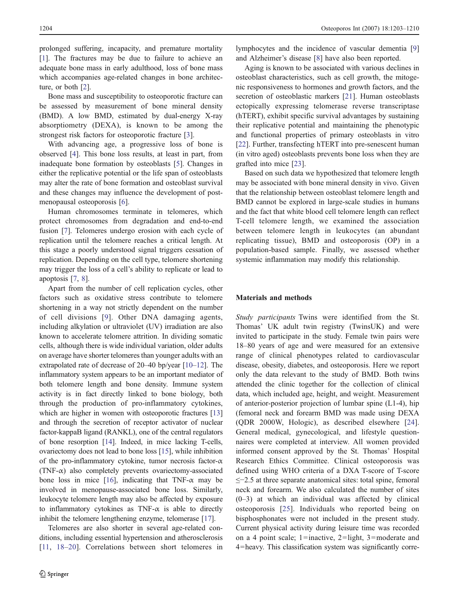prolonged suffering, incapacity, and premature mortality [\[1](#page-6-0)]. The fractures may be due to failure to achieve an adequate bone mass in early adulthood, loss of bone mass which accompanies age-related changes in bone architecture, or both [[2\]](#page-6-0).

Bone mass and susceptibility to osteoporotic fracture can be assessed by measurement of bone mineral density (BMD). A low BMD, estimated by dual-energy X-ray absorptiometry (DEXA), is known to be among the strongest risk factors for osteoporotic fracture [[3\]](#page-6-0).

With advancing age, a progressive loss of bone is observed [[4\]](#page-6-0). This bone loss results, at least in part, from inadequate bone formation by osteoblasts [[5\]](#page-6-0). Changes in either the replicative potential or the life span of osteoblasts may alter the rate of bone formation and osteoblast survival and these changes may influence the development of postmenopausal osteoporosis [[6\]](#page-6-0).

Human chromosomes terminate in telomeres, which protect chromosomes from degradation and end-to-end fusion [\[7\]](#page-6-0). Telomeres undergo erosion with each cycle of replication until the telomere reaches a critical length. At this stage a poorly understood signal triggers cessation of replication. Depending on the cell type, telomere shortening may trigger the loss of a cell's ability to replicate or lead to apoptosis [[7,](#page-6-0) [8\]](#page-6-0).

Apart from the number of cell replication cycles, other factors such as oxidative stress contribute to telomere shortening in a way not strictly dependent on the number of cell divisions [[9\]](#page-6-0). Other DNA damaging agents, including alkylation or ultraviolet (UV) irradiation are also known to accelerate telomere attrition. In dividing somatic cells, although there is wide individual variation, older adults on average have shorter telomeres than younger adults with an extrapolated rate of decrease of 20–40 bp/year [\[10](#page-6-0)–[12\]](#page-6-0). The inflammatory system appears to be an important mediator of both telomere length and bone density. Immune system activity is in fact directly linked to bone biology, both through the production of pro-inflammatory cytokines, which are higher in women with osteoporotic fractures [\[13\]](#page-6-0) and through the secretion of receptor activator of nuclear factor-kappaB ligand (RANKL), one of the central regulators of bone resorption [[14\]](#page-6-0). Indeed, in mice lacking T-cells, ovariectomy does not lead to bone loss [\[15](#page-6-0)], while inhibition of the pro-inflammatory cytokine, tumor necrosis factor-α (TNF- $\alpha$ ) also completely prevents ovariectomy-associated bone loss in mice [[16](#page-6-0)], indicating that TNF- $\alpha$  may be involved in menopause-associated bone loss. Similarly, leukocyte telomere length may also be affected by exposure to inflammatory cytokines as  $TNF-\alpha$  is able to directly inhibit the telomere lengthening enzyme, telomerase [[17\]](#page-6-0).

Telomeres are also shorter in several age-related conditions, including essential hypertension and atherosclerosis [\[11](#page-6-0), [18](#page-6-0)–[20\]](#page-6-0). Correlations between short telomeres in

lymphocytes and the incidence of vascular dementia [\[9](#page-6-0)] and Alzheimer's disease [[8\]](#page-6-0) have also been reported.

Aging is known to be associated with various declines in osteoblast characteristics, such as cell growth, the mitogenic responsiveness to hormones and growth factors, and the secretion of osteoblastic markers [[21\]](#page-6-0). Human osteoblasts ectopically expressing telomerase reverse transcriptase (hTERT), exhibit specific survival advantages by sustaining their replicative potential and maintaining the phenotypic and functional properties of primary osteoblasts in vitro [\[22](#page-6-0)]. Further, transfecting hTERT into pre-senescent human (in vitro aged) osteoblasts prevents bone loss when they are grafted into mice [[23\]](#page-6-0).

Based on such data we hypothesized that telomere length may be associated with bone mineral density in vivo. Given that the relationship between osteoblast telomere length and BMD cannot be explored in large-scale studies in humans and the fact that white blood cell telomere length can reflect T-cell telomere length, we examined the association between telomere length in leukocytes (an abundant replicating tissue), BMD and osteoporosis (OP) in a population-based sample. Finally, we assessed whether systemic inflammation may modify this relationship.

## Materials and methods

Study participants Twins were identified from the St. Thomas' UK adult twin registry (TwinsUK) and were invited to participate in the study. Female twin pairs were 18–80 years of age and were measured for an extensive range of clinical phenotypes related to cardiovascular disease, obesity, diabetes, and osteoporosis. Here we report only the data relevant to the study of BMD. Both twins attended the clinic together for the collection of clinical data, which included age, height, and weight. Measurement of anterior-posterior projection of lumbar spine (L1-4), hip (femoral neck and forearm BMD was made using DEXA (QDR 2000W, Hologic), as described elsewhere [\[24](#page-6-0)]. General medical, gynecological, and lifestyle questionnaires were completed at interview. All women provided informed consent approved by the St. Thomas' Hospital Research Ethics Committee. Clinical osteoporosis was defined using WHO criteria of a DXA T-score of T-score ≤−2.5 at three separate anatomical sites: total spine, femoral neck and forearm. We also calculated the number of sites (0–3) at which an individual was affected by clinical osteoporosis [[25\]](#page-7-0). Individuals who reported being on bisphosphonates were not included in the present study. Current physical activity during leisure time was recorded on a 4 point scale; 1=inactive, 2=light, 3=moderate and 4=heavy. This classification system was significantly corre-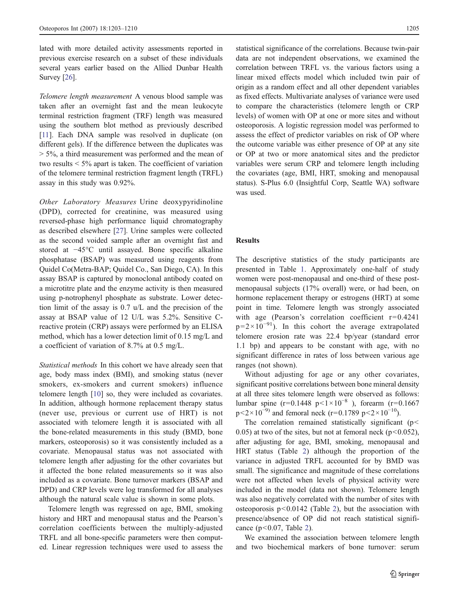lated with more detailed activity assessments reported in previous exercise research on a subset of these individuals several years earlier based on the Allied Dunbar Health Survey [\[26](#page-7-0)].

Telomere length measurement A venous blood sample was taken after an overnight fast and the mean leukocyte terminal restriction fragment (TRF) length was measured using the southern blot method as previously described [\[11\]](#page-6-0). Each DNA sample was resolved in duplicate (on different gels). If the difference between the duplicates was > 5%, a third measurement was performed and the mean of two results < 5% apart is taken. The coefficient of variation of the telomere terminal restriction fragment length (TRFL) assay in this study was 0.92%.

Other Laboratory Measures Urine deoxypyridinoline (DPD), corrected for creatinine, was measured using reversed-phase high performance liquid chromatography as described elsewhere [\[27](#page-7-0)]. Urine samples were collected as the second voided sample after an overnight fast and stored at −45°C until assayed. Bone specific alkaline phosphatase (BSAP) was measured using reagents from Quidel Co(Metra-BAP; Quidel Co., San Diego, CA). In this assay BSAP is captured by monoclonal antibody coated on a microtitre plate and the enzyme activity is then measured using p-notrophenyl phosphate as substrate. Lower detection limit of the assay is 0.7 u/L and the precision of the assay at BSAP value of 12 U/L was 5.2%. Sensitive Creactive protein (CRP) assays were performed by an ELISA method, which has a lower detection limit of 0.15 mg/L and a coefficient of variation of 8.7% at 0.5 mg/L.

Statistical methods In this cohort we have already seen that age, body mass index (BMI), and smoking status (never smokers, ex-smokers and current smokers) influence telomere length [[10\]](#page-6-0) so, they were included as covariates. In addition, although hormone replacement therapy status (never use, previous or current use of HRT) is not associated with telomere length it is associated with all the bone-related measurements in this study (BMD, bone markers, osteoporosis) so it was consistently included as a covariate. Menopausal status was not associated with telomere length after adjusting for the other covariates but it affected the bone related measurements so it was also included as a covariate. Bone turnover markers (BSAP and DPD) and CRP levels were log transformed for all analyses although the natural scale value is shown in some plots.

Telomere length was regressed on age, BMI, smoking history and HRT and menopausal status and the Pearson's correlation coefficients between the multiply-adjusted TRFL and all bone-specific parameters were then computed. Linear regression techniques were used to assess the statistical significance of the correlations. Because twin-pair data are not independent observations, we examined the correlation between TRFL vs. the various factors using a linear mixed effects model which included twin pair of origin as a random effect and all other dependent variables as fixed effects. Multivariate analyses of variance were used to compare the characteristics (telomere length or CRP levels) of women with OP at one or more sites and without osteoporosis. A logistic regression model was performed to assess the effect of predictor variables on risk of OP where the outcome variable was either presence of OP at any site or OP at two or more anatomical sites and the predictor variables were serum CRP and telomere length including the covariates (age, BMI, HRT, smoking and menopausal status). S-Plus 6.0 (Insightful Corp, Seattle WA) software was used.

#### Results

The descriptive statistics of the study participants are presented in Table [1](#page-3-0). Approximately one-half of study women were post-menopausal and one-third of these postmenopausal subjects (17% overall) were, or had been, on hormone replacement therapy or estrogens (HRT) at some point in time. Telomere length was strongly associated with age (Pearson's correlation coefficient r=0.4241)  $p=2\times10^{-91}$ ). In this cohort the average extrapolated telomere erosion rate was 22.4 bp/year (standard error 1.1 bp) and appears to be constant with age, with no significant difference in rates of loss between various age ranges (not shown).

Without adjusting for age or any other covariates, significant positive correlations between bone mineral density at all three sites telomere length were observed as follows: lumbar spine (r=0.1448 p <1 × 10<sup>-8</sup>), forearm (r=0.1667  $p < 2 \times 10^{-9}$  and femoral neck (r=0.1789 p  $< 2 \times 10^{-10}$ ).

The correlation remained statistically significant ( $p$ < 0.05) at two of the sites, but not at femoral neck ( $p$ <0.052), after adjusting for age, BMI, smoking, menopausal and HRT status (Table [2\)](#page-3-0) although the proportion of the variance in adjusted TRFL accounted for by BMD was small. The significance and magnitude of these correlations were not affected when levels of physical activity were included in the model (data not shown). Telomere length was also negatively correlated with the number of sites with osteoporosis  $p < 0.0142$  (Table [2\)](#page-3-0), but the association with presence/absence of OP did not reach statistical significance ( $p$ <0.07, Table [2\)](#page-3-0).

We examined the association between telomere length and two biochemical markers of bone turnover: serum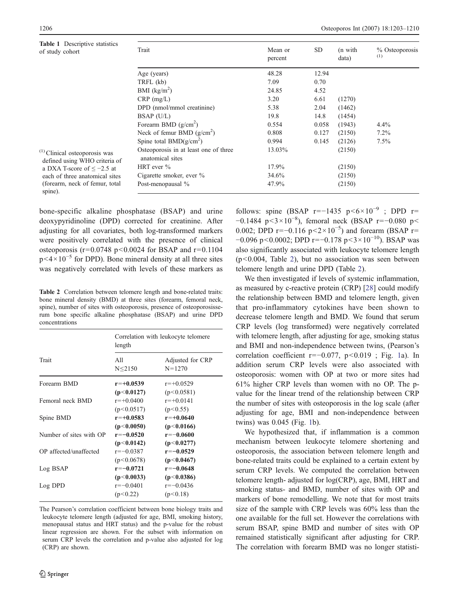<span id="page-3-0"></span>

| <b>Table 1</b> Descriptive statistics<br>of study cohort                                                                             | Trait                                                     | Mean or<br>percent | SD.   | (n with<br>data) | % Osteoporosis<br>(1) |
|--------------------------------------------------------------------------------------------------------------------------------------|-----------------------------------------------------------|--------------------|-------|------------------|-----------------------|
|                                                                                                                                      | Age (years)                                               | 48.28              | 12.94 |                  |                       |
|                                                                                                                                      | TRFL (kb)                                                 | 7.09               | 0.70  |                  |                       |
|                                                                                                                                      | BMI $(kg/m2)$                                             | 24.85              | 4.52  |                  |                       |
|                                                                                                                                      | $CRP$ (mg/L)                                              | 3.20               | 6.61  | (1270)           |                       |
|                                                                                                                                      | DPD (nmol/mmol creatinine)                                | 5.38               | 2.04  | (1462)           |                       |
|                                                                                                                                      | BSAP (U/L)                                                | 19.8               | 14.8  | (1454)           |                       |
|                                                                                                                                      | Forearm BMD $(g/cm^2)$                                    | 0.554              | 0.058 | (1943)           | $4.4\%$               |
|                                                                                                                                      | Neck of femur BMD $(g/cm^2)$                              | 0.808              | 0.127 | (2150)           | $7.2\%$               |
|                                                                                                                                      | Spine total $BMD(g/cm2)$                                  | 0.994              | 0.145 | (2126)           | $7.5\%$               |
| $(1)$ Clinical osteoporosis was<br>defined using WHO criteria of<br>a DXA T-score of $\le$ -2.5 at<br>each of three anatomical sites | Osteoporosis in at least one of three<br>anatomical sites | 13.03%             |       | (2150)           |                       |
|                                                                                                                                      | HRT ever $\%$                                             | 17.9%              |       | (2150)           |                       |
|                                                                                                                                      | Cigarette smoker, ever $\%$                               | 34.6%              |       | (2150)           |                       |
| (forearm, neck of femur, total)<br>spine).                                                                                           | Post-menopausal %                                         | 47.9%              |       | (2150)           |                       |

bone-specific alkaline phosphatase (BSAP) and urine deoxypyridinoline (DPD) corrected for creatinine. After adjusting for all covariates, both log-transformed markers were positively correlated with the presence of clinical osteoporosis ( $r=0.0748$  p<0.0024 for BSAP and  $r=0.1104$  $p$ <4×10<sup>-5</sup> for DPD). Bone mineral density at all three sites was negatively correlated with levels of these markers as

Table 2 Correlation between telomere length and bone-related traits: bone mineral density (BMD) at three sites (forearm, femoral neck, spine), number of sites with osteoporosis, presence of osteoporosisserum bone specific alkaline phosphatase (BSAP) and urine DPD concentrations

|                         | Correlation with leukocyte telomere<br>length |                                       |  |  |
|-------------------------|-----------------------------------------------|---------------------------------------|--|--|
| Trait                   | A11<br>$N \leq 2150$                          | Adjusted for CRP<br>$N = 1270$        |  |  |
| Forearm BMD             | $r=+0.0539$<br>(p<0.0127)                     | $r = +0.0529$<br>(p<0.0581)           |  |  |
| Femoral neck BMD        | $r = +0.0400$<br>(p<0.0517)                   | $r = +0.0141$<br>(p<0.55)             |  |  |
| Spine BMD               | $r = +0.0583$<br>(p<0.0050)                   | $r = +0.0640$<br>(p<0.0166)           |  |  |
| Number of sites with OP | $r = -0.0520$<br>(p<0.0142)                   | $r = -0.0600$<br>(p<0.0277)           |  |  |
| OP affected/unaffected  | $r=-0.0387$                                   | $r = -0.0529$<br>(p<0.0467)           |  |  |
| Log BSAP                | (p<0.0678)<br>$r = -0.0721$                   | $r = -0.0648$                         |  |  |
| Log DPD                 | (p<0.0033)<br>$r=-0.0401$<br>(p<0.22)         | (p<0.0386)<br>$r=-0.0436$<br>(p<0.18) |  |  |

The Pearson's correlation coefficient between bone biology traits and leukocyte telomere length (adjusted for age, BMI, smoking history, menopausal status and HRT status) and the p-value for the robust linear regression are shown. For the subset with information on serum CRP levels the correlation and p-value also adjusted for log (CRP) are shown.

follows: spine (BSAP r=−1435 p <6  $\times$ 10<sup>-9</sup>; DPD r= −0.1484 p<3×10−<sup>8</sup> ), femoral neck (BSAP r=−0.080 p< 0.002; DPD r=−0.116 p <  $2 \times 10^{-5}$ ) and forearm (BSAP r=  $-0.096$  p<0.0002; DPD r= $-0.178$  p<3 × 10<sup>-10</sup>). BSAP was also significantly associated with leukocyte telomere length  $(p<0.004$ , Table 2), but no association was seen between telomere length and urine DPD (Table 2).

We then investigated if levels of systemic inflammation, as measured by c-reactive protein (CRP) [[28\]](#page-7-0) could modify the relationship between BMD and telomere length, given that pro-inflammatory cytokines have been shown to decrease telomere length and BMD. We found that serum CRP levels (log transformed) were negatively correlated with telomere length, after adjusting for age, smoking status and BMI and non-independence between twins, (Pearson's correlation coefficient r=−0.077, p<0.019 ; Fig. [1a](#page-4-0)). In addition serum CRP levels were also associated with osteoporosis: women with OP at two or more sites had 61% higher CRP levels than women with no OP. The pvalue for the linear trend of the relationship between CRP the number of sites with osteoporosis in the log scale (after adjusting for age, BMI and non-independence between twins) was 0.045 (Fig. [1b](#page-4-0)).

We hypothesized that, if inflammation is a common mechanism between leukocyte telomere shortening and osteoporosis, the association between telomere length and bone-related traits could be explained to a certain extent by serum CRP levels. We computed the correlation between telomere length- adjusted for log(CRP), age, BMI, HRT and smoking status- and BMD, number of sites with OP and markers of bone remodelling. We note that for most traits size of the sample with CRP levels was 60% less than the one available for the full set. However the correlations with serum BSAP, spine BMD and number of sites with OP remained statistically significant after adjusting for CRP. The correlation with forearm BMD was no longer statisti-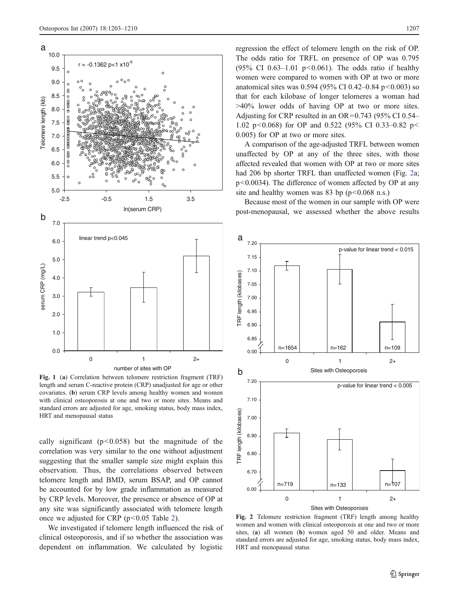

<span id="page-4-0"></span>

Fig. 1 (a) Correlation between telomere restriction fragment (TRF) length and serum C-reactive protein (CRP) unadjusted for age or other covariates. (b) serum CRP levels among healthy women and women with clinical osteoporosis at one and two or more sites. Means and standard errors are adjusted for age, smoking status, body mass index, HRT and menopausal status

cally significant  $(p<0.058)$  but the magnitude of the correlation was very similar to the one without adjustment suggesting that the smaller sample size might explain this observation. Thus, the correlations observed between telomere length and BMD, serum BSAP, and OP cannot be accounted for by low grade inflammation as measured by CRP levels. Moreover, the presence or absence of OP at any site was significantly associated with telomere length once we adjusted for CRP ( $p<0.05$  Table [2](#page-3-0)).

We investigated if telomere length influenced the risk of clinical osteoporosis, and if so whether the association was dependent on inflammation. We calculated by logistic

regression the effect of telomere length on the risk of OP. The odds ratio for TRFL on presence of OP was 0.795 (95% CI 0.63–1.01  $p<0.061$ ). The odds ratio if healthy women were compared to women with OP at two or more anatomical sites was 0.594 (95% CI 0.42–0.84 p < 0.003) so that for each kilobase of longer telomeres a woman had >40% lower odds of having OP at two or more sites. Adjusting for CRP resulted in an OR=0.743 (95% CI 0.54– 1.02 p < 0.068) for OP and 0.522 (95% CI 0.33–0.82 p < 0.005) for OP at two or more sites.

A comparison of the age-adjusted TRFL between women unaffected by OP at any of the three sites, with those affected revealed that women with OP at two or more sites had 206 bp shorter TRFL than unaffected women (Fig. 2a; p<0.0034). The difference of women affected by OP at any site and healthy women was 83 bp ( $p < 0.068$  n.s.)

Because most of the women in our sample with OP were post-menopausal, we assessed whether the above results



Fig. 2 Telomere restriction fragment (TRF) length among healthy women and women with clinical osteoporosis at one and two or more sites, (a) all women (b) women aged 50 and older. Means and standard errors are adjusted for age, smoking status, body mass index, HRT and menopausal status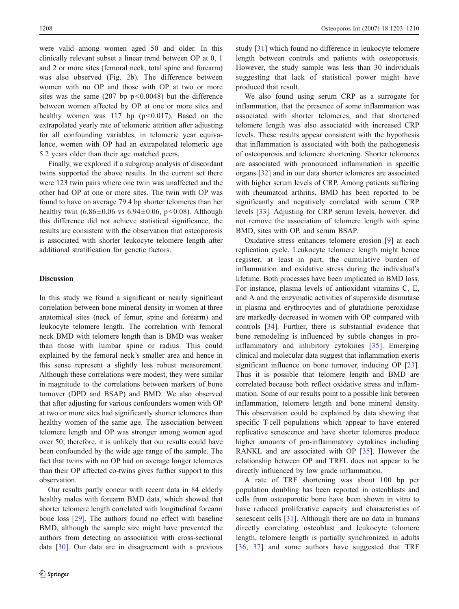were valid among women aged 50 and older. In this clinically relevant subset a linear trend between OP at 0, 1 and 2 or more sites (femoral neck, total spine and forearm) was also observed (Fig. [2](#page-4-0)b). The difference between women with no OP and those with OP at two or more sites was the same  $(207$  bp  $p < 0.0048$ ) but the difference between women affected by OP at one or more sites and healthy women was 117 bp  $(p<0.017)$ . Based on the extrapolated yearly rate of telomeric attrition after adjusting for all confounding variables, in telomeric year equivalence, women with OP had an extrapolated telomeric age 5.2 years older than their age matched peers.

Finally, we explored if a subgroup analysis of discordant twins supported the above results. In the current set there were 123 twin pairs where one twin was unaffected and the other had OP at one or more sites. The twin with OP was found to have on average 79.4 bp shorter telomeres than her healthy twin  $(6.86 \pm 0.06 \text{ vs } 6.94 \pm 0.06, \text{ p} < 0.08)$ . Although this difference did not achieve statistical significance, the results are consistent with the observation that osteoporosis is associated with shorter leukocyte telomere length after additional stratification for genetic factors.

## Discussion

In this study we found a significant or nearly significant correlation between bone mineral density in women at three anatomical sites (neck of femur, spine and forearm) and leukocyte telomere length. The correlation with femoral neck BMD with telomere length than is BMD was weaker than those with lumbar spine or radius. This could explained by the femoral neck's smaller area and hence in this sense represent a slightly less robust measurement. Although these correlations were modest, they were similar in magnitude to the correlations between markers of bone turnover (DPD and BSAP) and BMD. We also observed that after adjusting for various confounders women with OP at two or more sites had significantly shorter telomeres than healthy women of the same age. The association between telomere length and OP was stronger among women aged over 50; therefore, it is unlikely that our results could have been confounded by the wide age range of the sample. The fact that twins with no OP had on average longer telomeres than their OP affected co-twins gives further support to this observation.

Our results partly concur with recent data in 84 elderly healthy males with forearm BMD data, which showed that shorter telomere length correlated with longitudinal forearm bone loss [[29\]](#page-7-0). The authors found no effect with baseline BMD, although the sample size might have prevented the authors from detecting an association with cross-sectional data [\[30](#page-7-0)]. Our data are in disagreement with a previous study [[31\]](#page-7-0) which found no difference in leukocyte telomere length between controls and patients with osteoporosis. However, the study sample was less than 30 individuals suggesting that lack of statistical power might have produced that result.

We also found using serum CRP as a surrogate for inflammation, that the presence of some inflammation was associated with shorter telomeres, and that shortened telomere length was also associated with increased CRP levels. These results appear consistent with the hypothesis that inflammation is associated with both the pathogenesis of osteoporosis and telomere shortening. Shorter telomeres are associated with pronounced inflammation in specific organs [[32](#page-7-0)] and in our data shorter telomeres are associated with higher serum levels of CRP. Among patients suffering with rheumatoid arthritis, BMD has been reported to be significantly and negatively correlated with serum CRP levels [[33\]](#page-7-0). Adjusting for CRP serum levels, however, did not remove the association of telomere length with spine BMD, sites with OP, and serum BSAP.

Oxidative stress enhances telomere erosion [\[9](#page-6-0)] at each replication cycle. Leukocyte telomere length might hence register, at least in part, the cumulative burden of inflammation and oxidative stress during the individual's lifetime. Both processes have been implicated in BMD loss. For instance, plasma levels of antioxidant vitamins C, E, and A and the enzymatic activities of superoxide dismutase in plasma and erythrocytes and of glutathione peroxidase are markedly decreased in women with OP compared with controls [[34\]](#page-7-0). Further, there is substantial evidence that bone remodeling is influenced by subtle changes in proinflammatory and inhibitory cytokines [\[35\]](#page-7-0). Emerging clinical and molecular data suggest that inflammation exerts significant influence on bone turnover, inducing OP [[23\]](#page-6-0). Thus it is possible that telomere length and BMD are correlated because both reflect oxidative stress and inflammation. Some of our results point to a possible link between inflammation, telomere length and bone mineral density. This observation could be explained by data showing that specific T-cell populations which appear to have entered replicative senescence and have shorter telomeres produce higher amounts of pro-inflammatory cytokines including RANKL and are associated with OP [\[35](#page-7-0)]. However the relationship between OP and TRFL does not appear to be directly influenced by low grade inflammation.

A rate of TRF shortening was about 100 bp per population doubling has been reported in osteoblasts and cells from osteoporotic bone have been shown in vitro to have reduced proliferative capacity and characteristics of senescent cells [[31\]](#page-7-0). Although there are no data in humans directly correlating osteoblast and leukocyte telomere length, telomere length is partially synchronized in adults [\[36,](#page-7-0) [37\]](#page-7-0) and some authors have suggested that TRF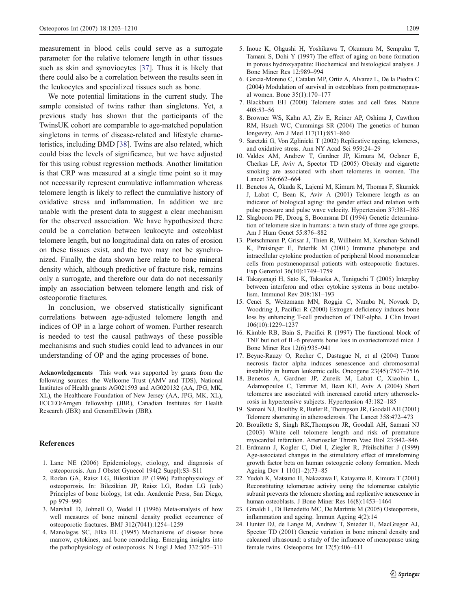<span id="page-6-0"></span>measurement in blood cells could serve as a surrogate parameter for the relative telomere length in other tissues such as skin and synoviocytes [[37\]](#page-7-0). Thus it is likely that there could also be a correlation between the results seen in the leukocytes and specialized tissues such as bone.

We note potential limitations in the current study. The sample consisted of twins rather than singletons. Yet, a previous study has shown that the participants of the TwinsUK cohort are comparable to age-matched population singletons in terms of disease-related and lifestyle characteristics, including BMD [\[38](#page-7-0)]. Twins are also related, which could bias the levels of significance, but we have adjusted for this using robust regression methods. Another limitation is that CRP was measured at a single time point so it may not necessarily represent cumulative inflammation whereas telomere length is likely to reflect the cumulative history of oxidative stress and inflammation. In addition we are unable with the present data to suggest a clear mechanism for the observed association. We have hypothesized there could be a correlation between leukocyte and osteoblast telomere length, but no longitudinal data on rates of erosion on these tissues exist, and the two may not be synchronized. Finally, the data shown here relate to bone mineral density which, although predictive of fracture risk, remains only a surrogate, and therefore our data do not necessarily imply an association between telomere length and risk of osteoporotic fractures.

In conclusion, we observed statistically significant correlations between age-adjusted telomere length and indices of OP in a large cohort of women. Further research is needed to test the causal pathways of these possible mechanisms and such studies could lead to advances in our understanding of OP and the aging processes of bone.

Acknowledgements This work was supported by grants from the following sources: the Wellcome Trust (AMV and TDS), National Institutes of Health grants AG021593 and AG020132 (AA, JPG, MK, XL), the Healthcare Foundation of New Jersey (AA, JPG, MK, XL), ECCEO/Amgen fellowship (JBR), Canadian Institutes for Health Research (JBR) and GenomEUtwin (JBR).

### References

- 1. Lane NE (2006) Epidemiology, etiology, and diagnosis of osteoporosis. Am J Obstet Gynecol 194(2 Suppl):S3–S11
- 2. Rodan GA, Raisz LG, Bilezikian JP (1996) Pathophysiology of osteoporosis. In: Bilezikian JP, Raisz LG, Rodan LG (eds) Principles of bone biology, 1st edn. Academic Press, San Diego, pp 979–990
- 3. Marshall D, Johnell O, Wedel H (1996) Meta-analysis of how well measures of bone mineral density predict occurrence of osteoporotic fractures. BMJ 312(7041):1254–1259
- 4. Manolagas SC, Jilka RL (1995) Mechanisms of disease: bone marrow, cytokines, and bone remodeling. Emerging insights into the pathophysiology of osteoporosis. N Engl J Med 332:305–311
- 5. Inoue K, Ohgushi H, Yoshikawa T, Okumura M, Sempuku T, Tamani S, Dohi Y (1997) The effect of aging on bone formation in porous hydroxyapatite: Biochemical and histological analysis. J Bone Miner Res 12:989–994
- 6. Garcia-Moreno C, Catalan MP, Ortiz A, Alvarez L, De la Piedra C (2004) Modulation of survival in osteoblasts from postmenopausal women. Bone 35(1):170–177
- 7. Blackburn EH (2000) Telomere states and cell fates. Nature 408:53–56
- 8. Browner WS, Kahn AJ, Ziv E, Reiner AP, Oshima J, Cawthon RM, Hsueh WC, Cummings SR (2004) The genetics of human longevity. Am J Med 117(11):851–860
- 9. Saretzki G, Von Zglinicki T (2002) Replicative ageing, telomeres, and oxidative stress. Ann NY Acad Sci 959:24–29
- 10. Valdes AM, Andrew T, Gardner JP, Kimura M, Oelsner E, Cherkas LF, Aviv A, Spector TD (2005) Obesity and cigarette smoking are associated with short telomeres in women. The Lancet 366:662–664
- 11. Benetos A, Okuda K, Lajemi M, Kimura M, Thomas F, Skurnick J, Labat C, Bean K, Aviv A (2001) Telomere length as an indicator of biological aging: the gender effect and relation with pulse pressure and pulse wave velocity. Hypertension 37:381–385
- 12. Slagboom PE, Droog S, Boomsma DI (1994) Genetic determination of telomere size in humans: a twin study of three age groups. Am J Hum Genet 55:876–882
- 13. Pietschmann P, Grisar J, Thien R, Willheim M, Kerschan-Schindl K, Preisinger E, Peterlik M (2001) Immune phenotype and intracellular cytokine production of peripheral blood mononuclear cells from postmenopausal patients with osteoporotic fractures. Exp Gerontol 36(10):1749–1759
- 14. Takayanagi H, Sato K, Takaoka A, Taniguchi T (2005) Interplay between interferon and other cytokine systems in bone metabolism. Immunol Rev 208:181–193
- 15. Cenci S, Weitzmann MN, Roggia C, Namba N, Novack D, Woodring J, Pacifici R (2000) Estrogen deficiency induces bone loss by enhancing T-cell production of TNF-alpha. J Clin Invest 106(10):1229–1237
- 16. Kimble RB, Bain S, Pacifici R (1997) The functional block of TNF but not of IL-6 prevents bone loss in ovariectomized mice. J Bone Miner Res 12(6):935–941
- 17. Beyne-Rauzy O, Recher C, Dastugue N, et al (2004) Tumor necrosis factor alpha induces senescence and chromosomal instability in human leukemic cells. Oncogene 23(45):7507–7516
- 18. Benetos A, Gardner JP, Zureik M, Labat C, Xiaobin L, Adamopoulos C, Temmar M, Bean KE, Aviv A (2004) Short telomeres are associated with increased carotid artery atherosclerosis in hypertensive subjects. Hypertension 43:182–185
- 19. Samani NJ, Boultby R, Butler R, Thompson JR, Goodall AH (2001) Telomere shortening in atherosclerosis. The Lancet 358:472–473
- 20. Brouilette S, Singh RK,Thompson JR, Goodall AH, Samani NJ (2003) White cell telomere length and risk of premature myocardial infarction. Arterioscler Throm Vasc Biol 23:842–846
- 21. Erdmann J, Kogler C, Diel I, Ziegler R, Pfeilschifter J (1999) Age-associated changes in the stimulatory effect of transforming growth factor beta on human osteogenic colony formation. Mech Ageing Dev 1 110(1–2):73–85
- 22. Yudoh K, Matsuno H, Nakazawa F, Katayama R, Kimura T (2001) Reconstituting telomerase activity using the telomerase catalytic subunit prevents the telomere shorting and replicative senescence in human osteoblasts. J Bone Miner Res 16(8):1453–1464
- 23. Ginaldi L, Di Benedetto MC, De Martinis M (2005) Osteoporosis, inflammation and ageing. Immun Ageing 4(2):14
- 24. Hunter DJ, de Lange M, Andrew T, Snieder H, MacGregor AJ, Spector TD (2001) Genetic variation in bone mineral density and calcaneal ultrasound: a study of the influence of menopause using female twins. Osteoporos Int 12(5):406–411